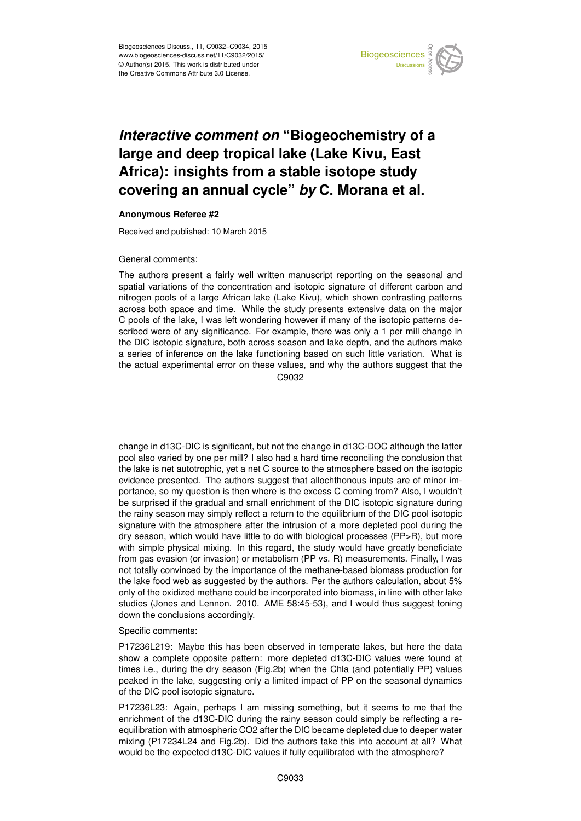

## *Interactive comment on* **"Biogeochemistry of a large and deep tropical lake (Lake Kivu, East Africa): insights from a stable isotope study covering an annual cycle"** *by* **C. Morana et al.**

## **Anonymous Referee #2**

Received and published: 10 March 2015

## General comments:

The authors present a fairly well written manuscript reporting on the seasonal and spatial variations of the concentration and isotopic signature of different carbon and nitrogen pools of a large African lake (Lake Kivu), which shown contrasting patterns across both space and time. While the study presents extensive data on the major C pools of the lake, I was left wondering however if many of the isotopic patterns described were of any significance. For example, there was only a 1 per mill change in the DIC isotopic signature, both across season and lake depth, and the authors make a series of inference on the lake functioning based on such little variation. What is the actual experimental error on these values, and why the authors suggest that the C9032

change in d13C-DIC is significant, but not the change in d13C-DOC although the latter pool also varied by one per mill? I also had a hard time reconciling the conclusion that the lake is net autotrophic, yet a net C source to the atmosphere based on the isotopic evidence presented. The authors suggest that allochthonous inputs are of minor importance, so my question is then where is the excess C coming from? Also, I wouldn't be surprised if the gradual and small enrichment of the DIC isotopic signature during the rainy season may simply reflect a return to the equilibrium of the DIC pool isotopic signature with the atmosphere after the intrusion of a more depleted pool during the dry season, which would have little to do with biological processes (PP>R), but more with simple physical mixing. In this regard, the study would have greatly beneficiate from gas evasion (or invasion) or metabolism (PP vs. R) measurements. Finally, I was not totally convinced by the importance of the methane-based biomass production for the lake food web as suggested by the authors. Per the authors calculation, about 5% only of the oxidized methane could be incorporated into biomass, in line with other lake studies (Jones and Lennon. 2010. AME 58:45-53), and I would thus suggest toning down the conclusions accordingly.

## Specific comments:

P17236L219: Maybe this has been observed in temperate lakes, but here the data show a complete opposite pattern: more depleted d13C-DIC values were found at times i.e., during the dry season (Fig.2b) when the Chla (and potentially PP) values peaked in the lake, suggesting only a limited impact of PP on the seasonal dynamics of the DIC pool isotopic signature.

P17236L23: Again, perhaps I am missing something, but it seems to me that the enrichment of the d13C-DIC during the rainy season could simply be reflecting a reequilibration with atmospheric CO2 after the DIC became depleted due to deeper water mixing (P17234L24 and Fig.2b). Did the authors take this into account at all? What would be the expected d13C-DIC values if fully equilibrated with the atmosphere?